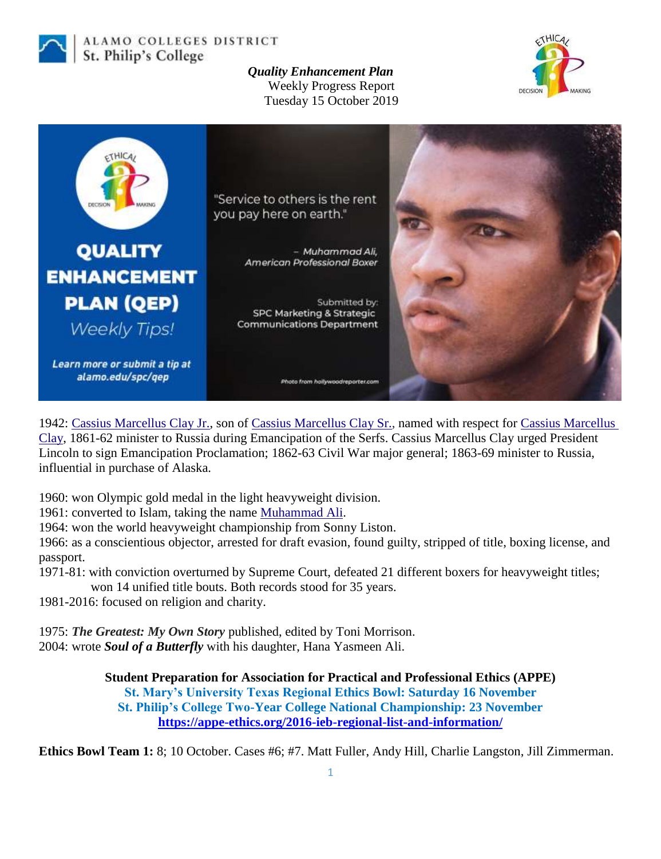

ALAMO COLLEGES DISTRICT St. Philip's College

## *Quality Enhancement Plan* Weekly Progress Report





1942: [Cassius Marcellus Clay Jr.,](https://en.wikipedia.org/wiki/Cassius_Marcellus_Clay_Jr.) son of [Cassius Marcellus Clay Sr.,](https://en.wikipedia.org/wiki/Cassius_Marcellus_Clay_Sr.) named with respect for [Cassius Marcellus](https://en.wikipedia.org/wiki/Cassius_Marcellus_Clay_(politician))  [Clay,](https://en.wikipedia.org/wiki/Cassius_Marcellus_Clay_(politician)) 1861-62 minister to Russia during Emancipation of the Serfs. Cassius Marcellus Clay urged President Lincoln to sign Emancipation Proclamation; 1862-63 Civil War major general; 1863-69 minister to Russia, influential in purchase of Alaska.

1960: won Olympic gold medal in the light heavyweight division.

1961: converted to Islam, taking the name [Muhammad Ali.](https://en.wikipedia.org/wiki/Muhammad_Ali)

1964: won the world heavyweight championship from Sonny Liston.

1966: as a conscientious objector, arrested for draft evasion, found guilty, stripped of title, boxing license, and passport.

1971-81: with conviction overturned by Supreme Court, defeated 21 different boxers for heavyweight titles;

won 14 unified title bouts. Both records stood for 35 years.

1981-2016: focused on religion and charity.

1975: *The Greatest: My Own Story* published, edited by Toni Morrison. 2004: wrote *Soul of a Butterfly* with his daughter, Hana Yasmeen Ali.

> **Student Preparation for Association for Practical and Professional Ethics (APPE) St. Mary's University Texas Regional Ethics Bowl: Saturday 16 November St. Philip's College Two-Year College National Championship: 23 November <https://appe-ethics.org/2016-ieb-regional-list-and-information/>**

**Ethics Bowl Team 1:** 8; 10 October. Cases #6; #7. Matt Fuller, Andy Hill, Charlie Langston, Jill Zimmerman.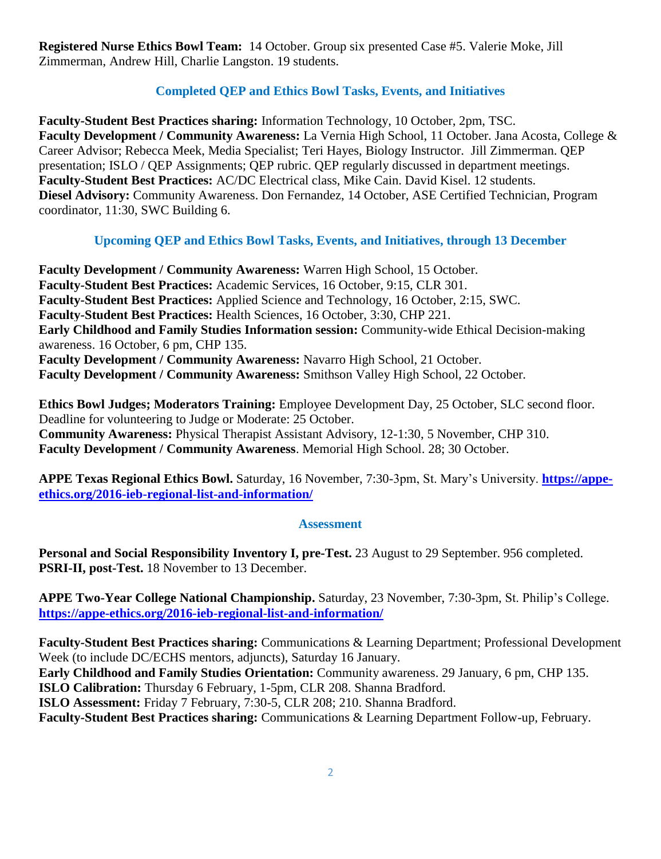**Registered Nurse Ethics Bowl Team:** 14 October. Group six presented Case #5. Valerie Moke, Jill Zimmerman, Andrew Hill, Charlie Langston. 19 students.

## **Completed QEP and Ethics Bowl Tasks, Events, and Initiatives**

**Faculty-Student Best Practices sharing:** Information Technology, 10 October, 2pm, TSC. **Faculty Development / Community Awareness:** La Vernia High School, 11 October. Jana Acosta, College & Career Advisor; Rebecca Meek, Media Specialist; Teri Hayes, Biology Instructor. Jill Zimmerman. QEP presentation; ISLO / QEP Assignments; QEP rubric. QEP regularly discussed in department meetings. **Faculty-Student Best Practices:** AC/DC Electrical class, Mike Cain. David Kisel. 12 students. **Diesel Advisory:** Community Awareness. Don Fernandez, 14 October, ASE Certified Technician, Program coordinator, 11:30, SWC Building 6.

## **Upcoming QEP and Ethics Bowl Tasks, Events, and Initiatives, through 13 December**

**Faculty Development / Community Awareness:** Warren High School, 15 October. **Faculty-Student Best Practices:** Academic Services, 16 October, 9:15, CLR 301. **Faculty-Student Best Practices:** Applied Science and Technology, 16 October, 2:15, SWC. **Faculty-Student Best Practices:** Health Sciences, 16 October, 3:30, CHP 221. **Early Childhood and Family Studies Information session:** Community-wide Ethical Decision-making awareness. 16 October, 6 pm, CHP 135. **Faculty Development / Community Awareness:** Navarro High School, 21 October. **Faculty Development / Community Awareness:** Smithson Valley High School, 22 October.

**Ethics Bowl Judges; Moderators Training:** Employee Development Day, 25 October, SLC second floor. Deadline for volunteering to Judge or Moderate: 25 October. **Community Awareness:** Physical Therapist Assistant Advisory, 12-1:30, 5 November, CHP 310. **Faculty Development / Community Awareness**. Memorial High School. 28; 30 October.

**APPE Texas Regional Ethics Bowl.** Saturday, 16 November, 7:30-3pm, St. Mary's University. **[https://appe](https://appe-ethics.org/2016-ieb-regional-list-and-information/)[ethics.org/2016-ieb-regional-list-and-information/](https://appe-ethics.org/2016-ieb-regional-list-and-information/)**

## **Assessment**

**Personal and Social Responsibility Inventory I, pre-Test.** 23 August to 29 September. 956 completed. **PSRI-II, post-Test.** 18 November to 13 December.

**APPE Two-Year College National Championship.** Saturday, 23 November, 7:30-3pm, St. Philip's College. **<https://appe-ethics.org/2016-ieb-regional-list-and-information/>**

**Faculty-Student Best Practices sharing:** Communications & Learning Department; Professional Development Week (to include DC/ECHS mentors, adjuncts), Saturday 16 January.

**Early Childhood and Family Studies Orientation:** Community awareness. 29 January, 6 pm, CHP 135.

**ISLO Calibration:** Thursday 6 February, 1-5pm, CLR 208. Shanna Bradford.

**ISLO Assessment:** Friday 7 February, 7:30-5, CLR 208; 210. Shanna Bradford.

**Faculty-Student Best Practices sharing:** Communications & Learning Department Follow-up, February.